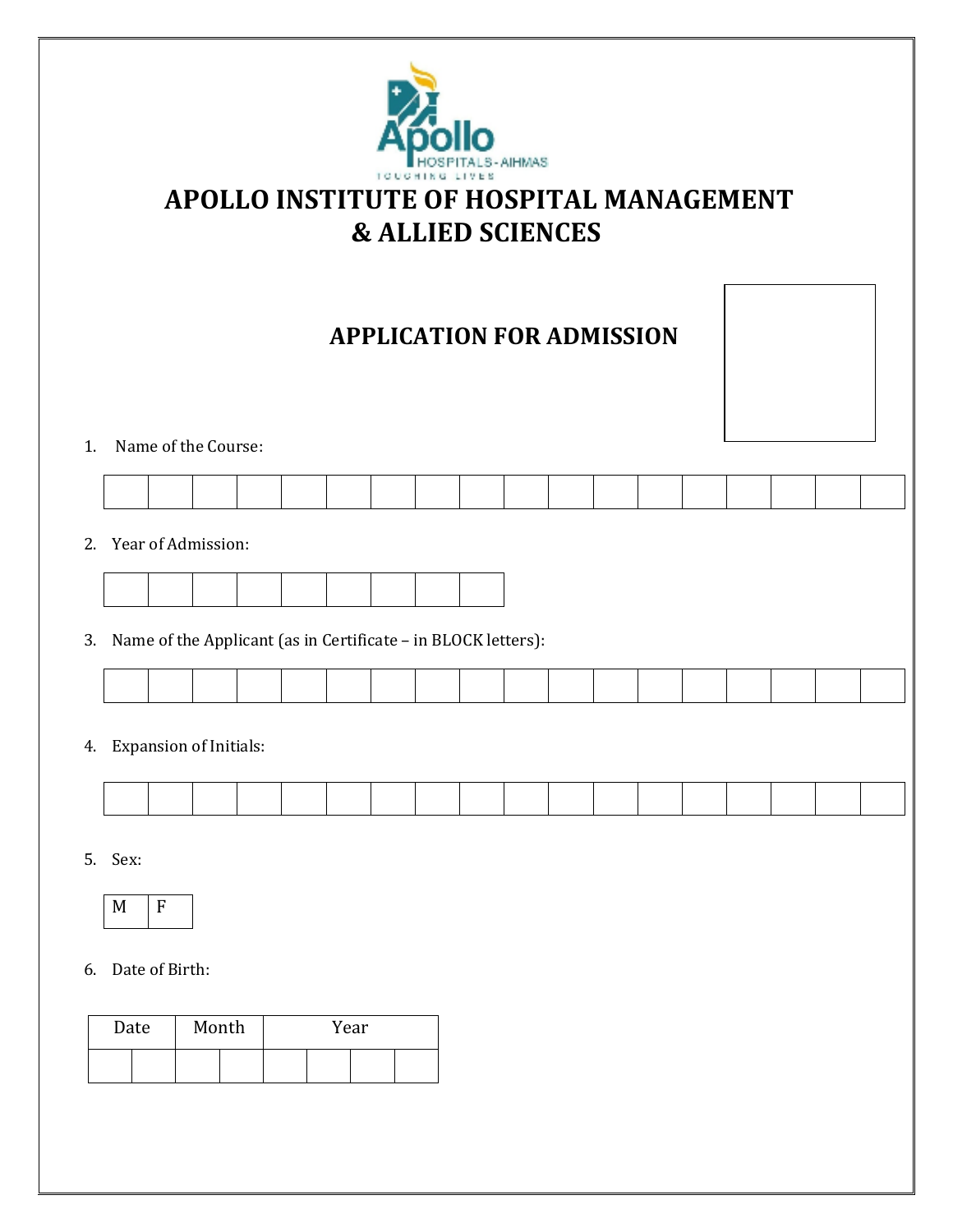

# **APOLLO INSTITUTE OF HOSPITAL MANAGEMENT & ALLIED SCIENCES**

# **APPLICATION FOR ADMISSION**



1. Name of the Course:

2. Year of Admission:



3. Name of the Applicant (as in Certificate – in BLOCK letters):

4. Expansion of Initials:

5. Sex:



6. Date of Birth:

| Date |  | Month |  | Year |  |
|------|--|-------|--|------|--|
|      |  |       |  |      |  |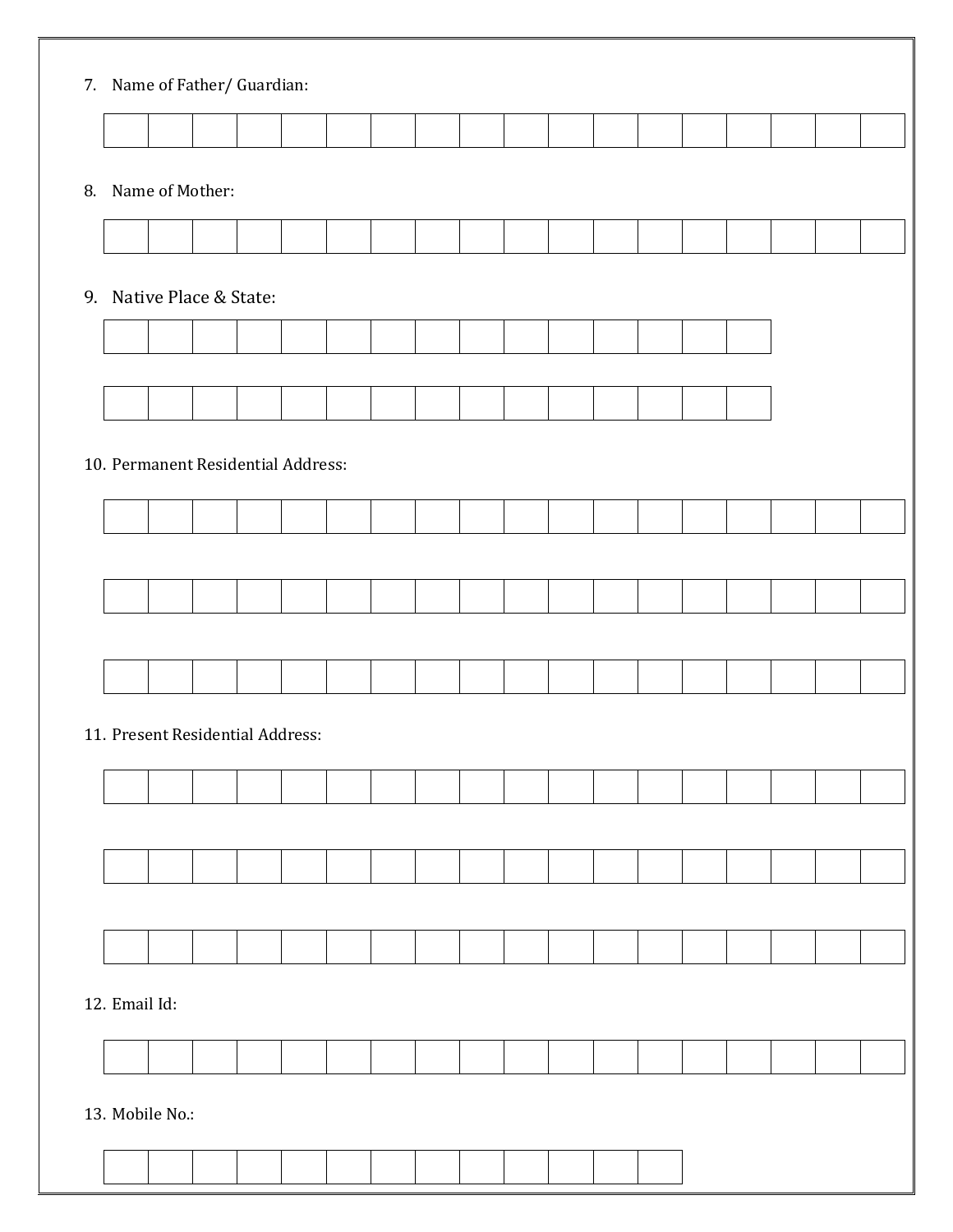|                 | 7. Name of Father/ Guardian:       |  |  |  |  |  |  |  |  |
|-----------------|------------------------------------|--|--|--|--|--|--|--|--|
|                 |                                    |  |  |  |  |  |  |  |  |
|                 | 8. Name of Mother:                 |  |  |  |  |  |  |  |  |
|                 |                                    |  |  |  |  |  |  |  |  |
|                 | 9. Native Place & State:           |  |  |  |  |  |  |  |  |
|                 |                                    |  |  |  |  |  |  |  |  |
|                 |                                    |  |  |  |  |  |  |  |  |
|                 |                                    |  |  |  |  |  |  |  |  |
|                 | 10. Permanent Residential Address: |  |  |  |  |  |  |  |  |
|                 |                                    |  |  |  |  |  |  |  |  |
|                 |                                    |  |  |  |  |  |  |  |  |
|                 |                                    |  |  |  |  |  |  |  |  |
|                 |                                    |  |  |  |  |  |  |  |  |
|                 |                                    |  |  |  |  |  |  |  |  |
|                 | 11. Present Residential Address:   |  |  |  |  |  |  |  |  |
|                 |                                    |  |  |  |  |  |  |  |  |
|                 |                                    |  |  |  |  |  |  |  |  |
|                 |                                    |  |  |  |  |  |  |  |  |
|                 |                                    |  |  |  |  |  |  |  |  |
|                 |                                    |  |  |  |  |  |  |  |  |
| 12. Email Id:   |                                    |  |  |  |  |  |  |  |  |
|                 |                                    |  |  |  |  |  |  |  |  |
| 13. Mobile No.: |                                    |  |  |  |  |  |  |  |  |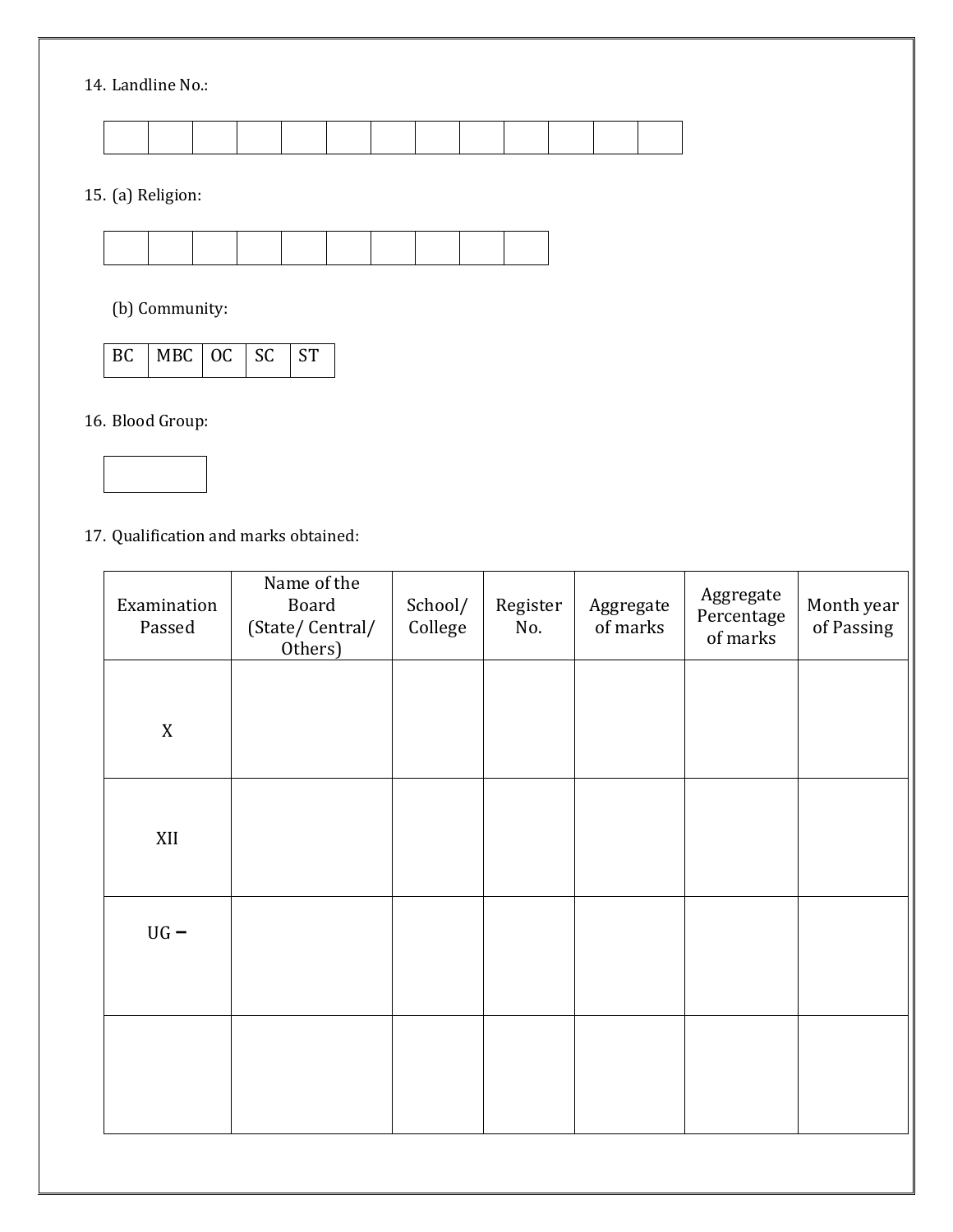## 14. Landline No.:

15. (a) Religion:



(b) Community:

|  | BC MBC OC SC ST |  |  |  |
|--|-----------------|--|--|--|
|--|-----------------|--|--|--|

16. Blood Group:



17. Qualification and marks obtained:

| Examination<br>Passed | Name of the<br>Board<br>(State/Central/<br>Others) | School/<br>College | Register<br>No. | Aggregate<br>of marks | Aggregate<br>Percentage<br>of marks | Month year<br>of Passing |
|-----------------------|----------------------------------------------------|--------------------|-----------------|-----------------------|-------------------------------------|--------------------------|
| $\mathbf X$           |                                                    |                    |                 |                       |                                     |                          |
| XII                   |                                                    |                    |                 |                       |                                     |                          |
| $UG -$                |                                                    |                    |                 |                       |                                     |                          |
|                       |                                                    |                    |                 |                       |                                     |                          |
|                       |                                                    |                    |                 |                       |                                     |                          |
|                       |                                                    |                    |                 |                       |                                     |                          |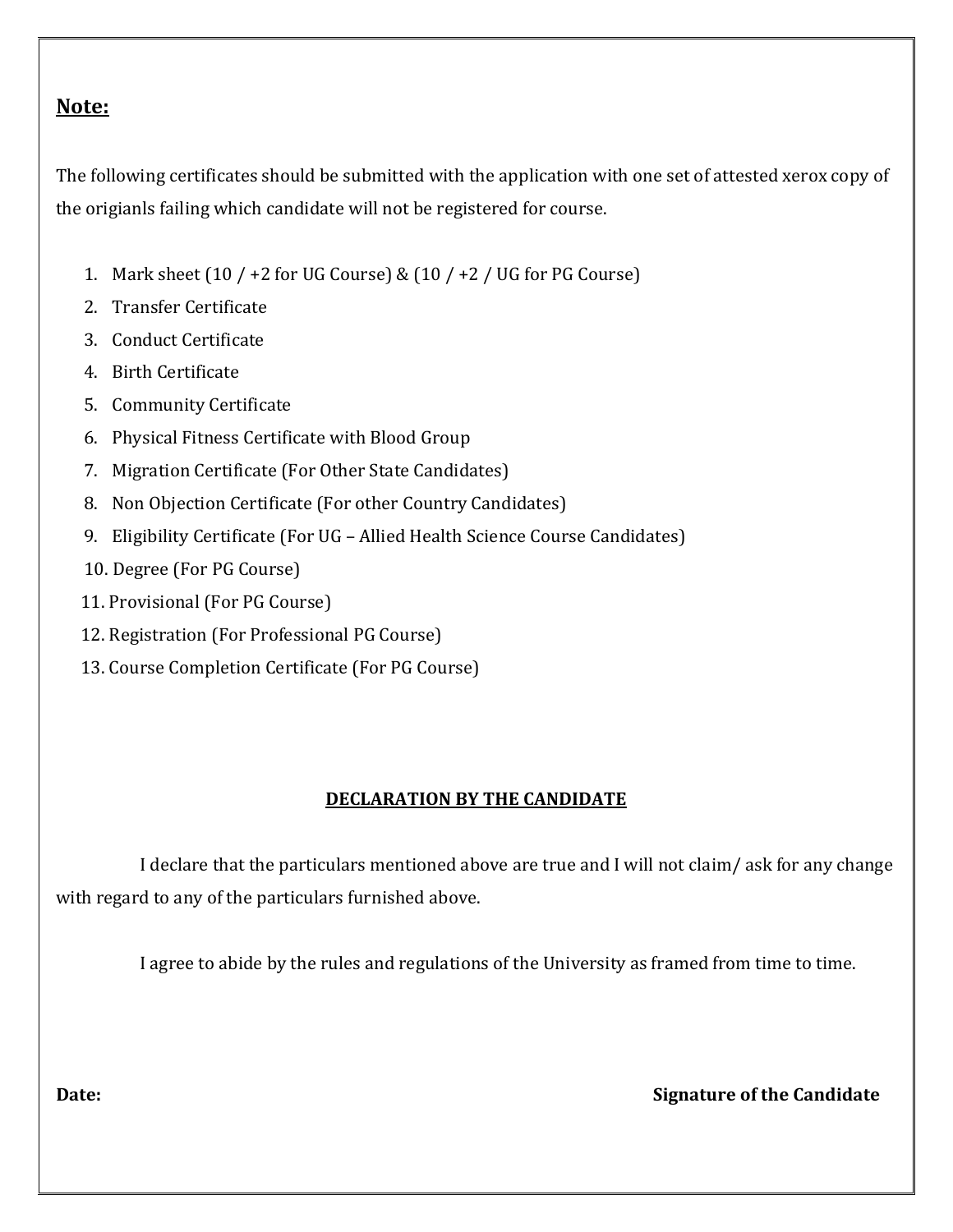# **Note:**

The following certificates should be submitted with the application with one set of attested xerox copy of the origianls failing which candidate will not be registered for course.

- 1. Mark sheet  $(10 / +2$  for UG Course) &  $(10 / +2 /$  UG for PG Course)
- 2. Transfer Certificate
- 3. Conduct Certificate
- 4. Birth Certificate
- 5. Community Certificate
- 6. Physical Fitness Certificate with Blood Group
- 7. Migration Certificate (For Other State Candidates)
- 8. Non Objection Certificate (For other Country Candidates)
- 9. Eligibility Certificate (For UG Allied Health Science Course Candidates)
- 10. Degree (For PG Course)
- 11. Provisional (For PG Course)
- 12. Registration (For Professional PG Course)
- 13. Course Completion Certificate (For PG Course)

## **DECLARATION BY THE CANDIDATE**

 I declare that the particulars mentioned above are true and I will not claim/ ask for any change with regard to any of the particulars furnished above.

I agree to abide by the rules and regulations of the University as framed from time to time.

**Date:** Signature of the Candidate